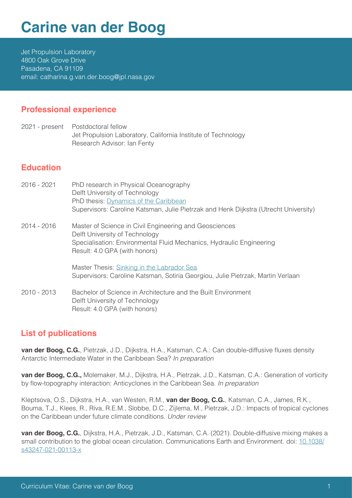# **Carine van der Boog**

Jet Propulsion Laboratory 4800 Oak Grove Drive Pasadena, CA 91109 email: catharina.g.van.der.boog@jpl.nasa.gov

#### **Professional experience**

2021 - present Postdoctoral fellow Jet Propulsion Laboratory, California Institute of Technology Research Advisor: Ian Fenty

## **Education**

2016 - 2021 2014 - 2016 2010 - 2013 PhD research in Physical Oceanography Delft University of Technology PhD thesis: [Dynamics of the Caribbean](https://repository.tudelft.nl/islandora/object/uuid%3Afef185f6-6ec9-451f-88df-fac3a1d172e4?collection=research) Supervisors: Caroline Katsman, Julie Pietrzak and Henk Dijkstra (Utrecht University) Master of Science in Civil Engineering and Geosciences Delft University of Technology Specialisation: Environmental Fluid Mechanics, Hydraulic Engineering Result: 4.0 GPA (with honors) Master Thesis: [Sinking in the Labrador Sea](https://repository.tudelft.nl/islandora/object/uuid%3Ae5982db6-346a-49f6-b48e-6eb663558d8b?collection=education) Supervisors: Caroline Katsman, Sotiria Georgiou, Julie Pietrzak, Martin Verlaan Bachelor of Science in Architecture and the Built Environment Delft University of Technology Result: 4.0 GPA (with honors)

## **List of publications**

**van der Boog, C.G.**, Pietrzak, J.D., Dijkstra, H.A., Katsman, C.A.: Can double-diffusive fluxes density Antarctic Intermediate Water in the Caribbean Sea? *In preparation* 

**van der Boog, C.G.,** Molemaker, M.J., Dijkstra, H.A., Pietrzak, J.D., Katsman, C.A.: Generation of vorticity by flow-topography interaction: Anticyclones in the Caribbean Sea. *In preparation*

Kleptsova, O.S., Dijkstra, H.A., van Westen, R.M., **van der Boog, C.G.**, Katsman, C.A., James, R.K., Bouma, T.J., Klees, R., Riva, R.E.M., Slobbe, D.C., Zijlema, M., Pietrzak, J.D.: Impacts of tropical cyclones on the Caribbean under future climate conditions. *Under review*

**van der Boog, C.G.**, Dijkstra, H.A., Pietrzak, J.D., Katsman, C.A. (2021). Double-diffusive mixing makes a small contribution to the global ocean circulation. Communications Earth and Environment. doi: [10.1038/](https://doi.org/10.1038/s43247-021-00113-x) [s43247-021-00113-x](https://doi.org/10.1038/s43247-021-00113-x)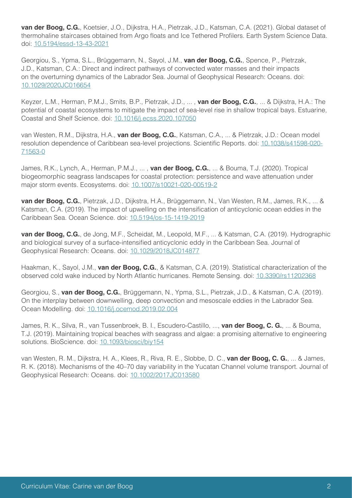**van der Boog, C.G.**, Koetsier, J.O., Dijkstra, H.A., Pietrzak, J.D., Katsman, C.A. (2021). Global dataset of thermohaline staircases obtained from Argo floats and Ice Tethered Profilers. Earth System Science Data. doi: [10.5194/essd-13-43-2021](https://doi.org/10.5194/essd-13-43-2021)

Georgiou, S., Ypma, S.L., Brüggemann, N., Sayol, J.M., **van der Boog, C.G.**, Spence, P., Pietrzak, J.D., Katsman, C.A.: Direct and indirect pathways of convected water masses and their impacts on the overturning dynamics of the Labrador Sea. Journal of Geophysical Research: Oceans. doi: [10.1029/2020JC016654](https://doi.org/10.1029/2020JC016654)

Keyzer, L.M., Herman, P.M.J., Smits, B.P., Pietrzak, J.D., ... , **van der Boog, C.G.**, ... & Dijkstra, H.A.: The potential of coastal ecosystems to mitigate the impact of sea-level rise in shallow tropical bays. Estuarine, Coastal and Shelf Science. doi: [10.1016/j.ecss.2020.107050](https://doi.org/10.1016/j.ecss.2020.107050)

van Westen, R.M., Dijkstra, H.A., **van der Boog, C.G.**, Katsman, C.A., ... & Pietrzak, J.D.: Ocean model resolution dependence of Caribbean sea-level projections. Scientific Reports. doi: [10.1038/s41598-020-](https://doi.org/10.1038/s41598-020-71563-0) [71563-0](https://doi.org/10.1038/s41598-020-71563-0)

James, R.K., Lynch, A., Herman, P.M.J., ... , **van der Boog, C.G.**, ... & Bouma, T.J. (2020). Tropical biogeomorphic seagrass landscapes for coastal protection: persistence and wave attenuation under major storm events. Ecosystems. doi: [10.1007/s10021-020-00519-2](https://doi.org/10.1007/s10021-020-00519-2)

**van der Boog, C.G.**, Pietrzak, J.D., Dijkstra, H.A., Brüggemann, N., Van Westen, R.M., James, R.K., ... & Katsman, C.A. (2019). The impact of upwelling on the intensification of anticyclonic ocean eddies in the Caribbean Sea. Ocean Science. doi: [10.5194/os-15-1419-2019](https://doi.org/10.5194/os-15-1419-2019)

**van der Boog, C.G.**, de Jong, M.F., Scheidat, M., Leopold, M.F., ... & Katsman, C.A. (2019). Hydrographic and biological survey of a surface‐intensified anticyclonic eddy in the Caribbean Sea. Journal of Geophysical Research: Oceans. doi: [10.1029/2018JC014877](https://doi.org/10.1029/2018JC014877)

Haakman, K., Sayol, J.M., **van der Boog, C.G.**, & Katsman, C.A. (2019). Statistical characterization of the observed cold wake induced by North Atlantic hurricanes. Remote Sensing. doi: [10.3390/rs11202368](https://doi.org/10.3390/rs11202368)

Georgiou, S., **van der Boog, C.G.**, Brüggemann, N., Ypma, S.L., Pietrzak, J.D., & Katsman, C.A. (2019). On the interplay between downwelling, deep convection and mesoscale eddies in the Labrador Sea. Ocean Modelling. doi: [10.1016/j.ocemod.2019.02.004](http://doi.org/10.1016/j.ocemod.2019.02.004)

James, R. K., Silva, R., van Tussenbroek, B. I., Escudero-Castillo, ..., **van der Boog, C. G.**, ... & Bouma, T.J. (2019). Maintaining tropical beaches with seagrass and algae: a promising alternative to engineering solutions. BioScience. doi: [10.1093/biosci/biy154](https://doi.org/10.1093/biosci/biy154)

van Westen, R. M., Dijkstra, H. A., Klees, R., Riva, R. E., Slobbe, D. C., **van der Boog, C. G.**, ... & James, R. K. (2018). Mechanisms of the 40–70 day variability in the Yucatan Channel volume transport. Journal of Geophysical Research: Oceans. doi: [10.1002/2017JC013580](https://doi.org/10.1002/2017JC013580)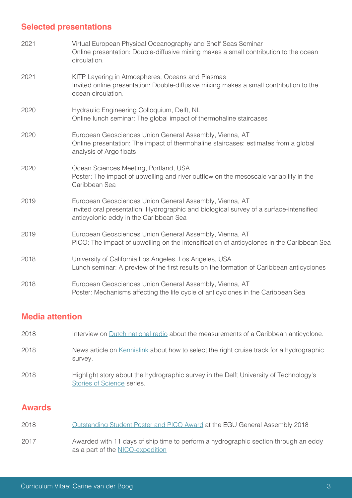## **Selected presentations**

| 2021 | Virtual European Physical Oceanography and Shelf Seas Seminar<br>Online presentation: Double-diffusive mixing makes a small contribution to the ocean<br>circulation.                       |
|------|---------------------------------------------------------------------------------------------------------------------------------------------------------------------------------------------|
| 2021 | KITP Layering in Atmospheres, Oceans and Plasmas<br>Invited online presentation: Double-diffusive mixing makes a small contribution to the<br>ocean circulation.                            |
| 2020 | Hydraulic Engineering Colloquium, Delft, NL<br>Online lunch seminar: The global impact of thermohaline staircases                                                                           |
| 2020 | European Geosciences Union General Assembly, Vienna, AT<br>Online presentation: The impact of thermohaline staircases: estimates from a global<br>analysis of Argo floats                   |
| 2020 | Ocean Sciences Meeting, Portland, USA<br>Poster: The impact of upwelling and river outflow on the mesoscale variability in the<br>Caribbean Sea                                             |
| 2019 | European Geosciences Union General Assembly, Vienna, AT<br>Invited oral presentation: Hydrographic and biological survey of a surface-intensified<br>anticyclonic eddy in the Caribbean Sea |
| 2019 | European Geosciences Union General Assembly, Vienna, AT<br>PICO: The impact of upwelling on the intensification of anticyclones in the Caribbean Sea                                        |
| 2018 | University of California Los Angeles, Los Angeles, USA<br>Lunch seminar: A preview of the first results on the formation of Caribbean anticyclones                                          |
| 2018 | European Geosciences Union General Assembly, Vienna, AT<br>Poster: Mechanisms affecting the life cycle of anticyclones in the Caribbean Sea                                                 |

## **Media attention**

| 2018 | Interview on Dutch national radio about the measurements of a Caribbean anticyclone.                                |
|------|---------------------------------------------------------------------------------------------------------------------|
| 2018 | News article on Kennislink about how to select the right cruise track for a hydrographic<br>survey.                 |
| 2018 | Highlight story about the hydrographic survey in the Delft University of Technology's<br>Stories of Science series. |

## **Awards**

| 2018 |  |  | <u>Outstanding Student Poster and PICO Award</u> at the EGU General Assembly 2018 |  |
|------|--|--|-----------------------------------------------------------------------------------|--|
|      |  |  |                                                                                   |  |

Awarded with 11 days of ship time to perform a hydrographic section through an eddy as a part of the [NICO-expedition](https://nico-expeditie.nl/) 2017